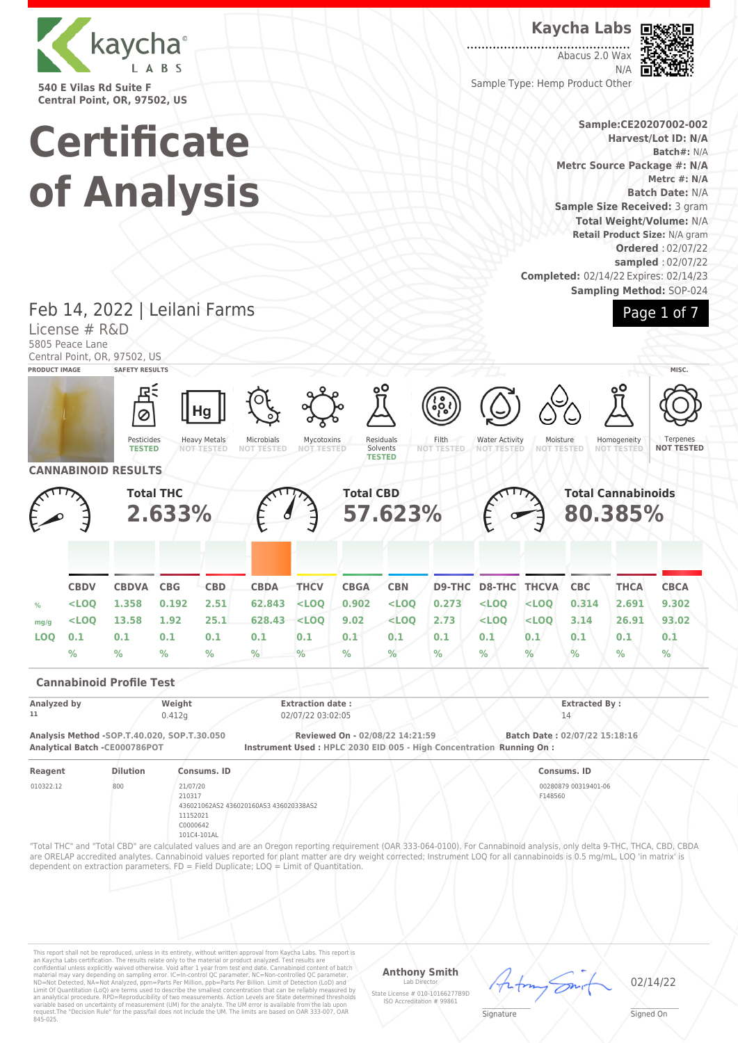

**540 E Vilas Rd Suite F Central Point, OR, 97502, US**

## **Kaycha Labs**

. . . . . . . . . . . . . . . . . Abacus 2.0 Wax N/A



Sample Type: Hemp Product Other

### **Sample:CE20207002-002 Harvest/Lot ID: N/A Batch#:** N/A **Metrc Source Package #: N/A Metrc #: N/A Batch Date:** N/A **Sample Size Received:** 3 gram **Total Weight/Volume:** N/A **Retail Product Size:** N/A gram **Ordered** : 02/07/22 **sampled** : 02/07/22 **Completed:** 02/14/22 Expires: 02/14/23 **Sampling Method:** SOP-024



# **Certificate of Analysis**

Feb 14, 2022 | Leilani Farms

#### License # R&D 5805 Peace Lane Central Point, OR, 97502, US **PRODUCT IMAGE SAFETY RESULTS MISC.** Hg Ø Pesticides Residuals Heavy Metals Microbials Mycotoxins Filth Water Activity Moisture<br>NOT TEST Homogeneity **Terpenes TESTED NOT TESTED NOT TESTED** Solvents **NOT TESTED NOT TESTED NOT TESTED NOT TESTED NOT TESTED NOT TESTED TESTED CANNABINOID RESULTS Total THC Total CBD Total Cannabinoids 57.623% 2.633% 80.385% CBDV CBDVA CBG CBD CBDA THCV CBGA CBN D9-THC D8-THC THCVA CBC THCA CBCA % <LOQ 1.358 0.192 2.51 62.843 <LOQ 0.902 <LOQ 0.273 <LOQ <LOQ 0.314 2.691 9.302 mg/g <LOQ 13.58 1.92 25.1 628.43 <LOQ 9.02 <LOQ 2.73 <LOQ <LOQ 3.14 26.91 93.02 LOQ 0.1 0.1 0.1 0.1 0.1 0.1 0.1 0.1 0.1 0.1 0.1 0.1 0.1 0.1 % % % % % % % % % % % % % % Cannabinoid Profile Test Analyzed by Weight Extraction date : Extracted By : 11** 0.412g 02/07/22 03:02:05 14 **Analysis Method -SOP.T.40.020, SOP.T.30.050 Reviewed On - 02/08/22 14:21:59 Batch Date : 02/07/22 15:18:16 Instrument Used : HPLC 2030 EID 005 - High Concentration Running On : Reagent Dilution Consums. ID Consums. ID** 010322.12 800 21/07/20 00280879 00319401-06 210317 F148560 436021062AS2 436020160AS3 436020338AS2 11152021 C0000642 101C4-101AL "Total THC" and "Total CBD" are calculated values and are an Oregon reporting requirement (OAR 333-064-0100). For Cannabinoid analysis, only delta 9-THC, THCA, CBD, CBDA are ORELAP accredited analytes. Cannabinoid values reported for plant matter are dry weight corrected; Instrument LOQ for all cannabinoids is 0.5 mg/mL, LOQ 'in matrix' is dependent on extraction parameters. FD = Field Duplicate; LOQ = Limit of Quantitation.

This report shall not be reproduced, unless in its entirety, without written approval from Kaycha Labs. This report is<br>an Kaycha Labs certification. The results relate only to the material or product analyzed. Test result

## **Anthony Smith**

Lab Director State License # 010-10166277B9D ISO Accreditation # 99861

 $\mathscr{L}\setminus\mathscr{L}$ **Signature** 

02/14/22

Signed On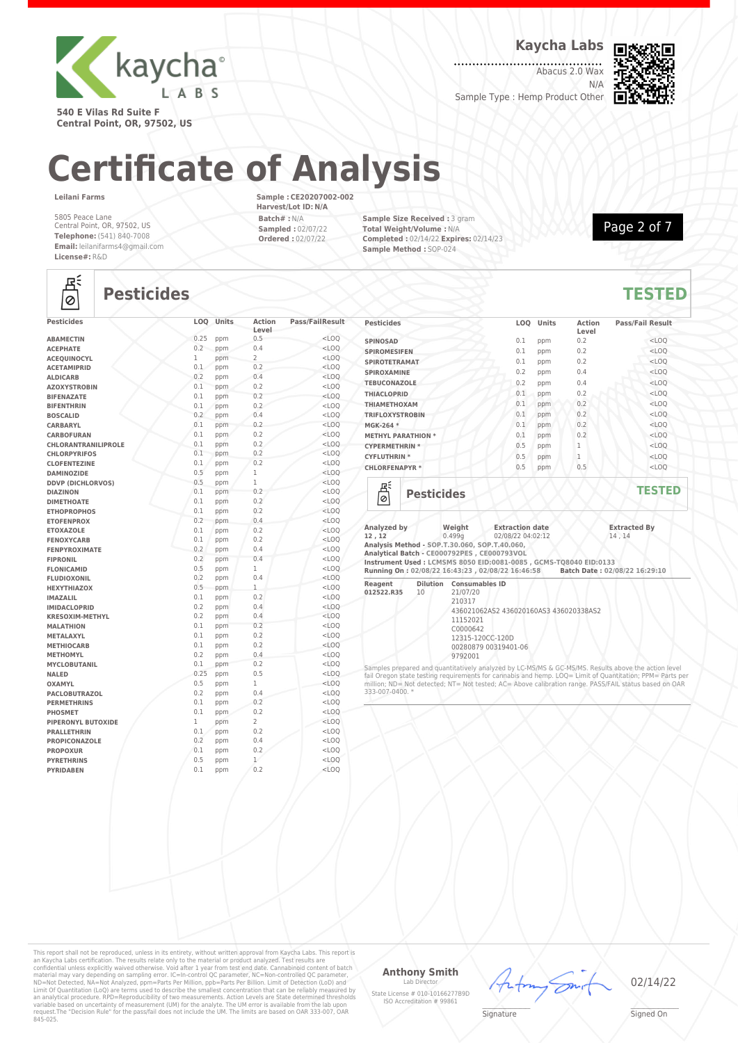

**Kaycha Labs**

Abacus 2.0 Wax N/A



**540 E Vilas Rd Suite F Central Point, OR, 97502, US**

# **Certificate of Analysis**

**Leilani Farms**

5805 Peace Lane Central Point, OR, 97502, US **Telephone:** (541) 840-7008 **Email:** leilanifarms4@gmail.com **License#:** R&D

**Sample : CE20207002-002 Harvest/Lot ID: N/A Batch# :** N/A **Sampled :** 02/07/22 **Ordered :** 02/07/22

**Sample Size Received :** 3 gram **Total Weight/Volume :** N/A **Completed :** 02/14/22 **Expires:** 02/14/23 **Sample Method :** SOP-024



## 녢

## **Pesticides TESTED**

| <b>Pesticides</b>          |             | LOQ Units | <b>Action</b><br>Level | <b>Pass/FailResult</b> |
|----------------------------|-------------|-----------|------------------------|------------------------|
| <b>ABAMECTIN</b>           | 0.25        | ppm       | 0.5                    | $<$ LOO                |
| <b>ACEPHATE</b>            | 0.2         | ppm       | 0.4                    | $<$ LOQ                |
| <b>ACEQUINOCYL</b>         | 1           | ppm       | $\overline{2}$         | $<$ LOO                |
| <b>ACETAMIPRID</b>         | 0.1         | ppm       | 0.2                    | $<$ LOO                |
| <b>ALDICARB</b>            | 0.2         | ppm       | 0.4                    | $<$ LOO                |
| <b>AZOXYSTROBIN</b>        | 0.1         | ppm       | 0.2                    | $<$ LOO                |
| <b>BIFENAZATE</b>          | 0.1         | ppm       | 0.2                    | $<$ LOQ                |
| <b>BIFENTHRIN</b>          | 0.1         | ppm       | 0.2                    | $<$ LOQ                |
| <b>BOSCALID</b>            | 0.2         | ppm       | 0.4                    | $<$ LOO                |
| CARBARYL                   | 0.1         | ppm       | 0.2                    | $<$ LOO                |
| <b>CARBOFURAN</b>          | 0.1         | ppm       | 0.2                    | $<$ LOQ                |
| <b>CHLORANTRANILIPROLE</b> | 0.1         | ppm       | 0.2                    | $<$ LOQ                |
| <b>CHLORPYRIFOS</b>        | 0.1         | ppm       | 0.2                    | $<$ LOQ                |
| <b>CLOFENTEZINE</b>        | 0.1         | ppm       | 0.2                    | $<$ LOO                |
| <b>DAMINOZIDE</b>          | 0.5         | ppm       | 1                      | $<$ LOQ                |
| <b>DDVP (DICHLORVOS)</b>   | 0.5         | ppm       | $\mathbf 1$            | $<$ LOO                |
| <b>DIAZINON</b>            | 0.1         | ppm       | 0.2                    | $<$ LOO                |
| <b>DIMETHOATE</b>          | 0.1         | ppm       | 0.2                    | $<$ LOQ                |
| <b>ETHOPROPHOS</b>         | 0.1         | ppm       | 0.2                    | $<$ LOQ                |
| <b>ETOFENPROX</b>          | 0.2         | ppm       | 0.4                    | $<$ LOQ                |
| <b>ETOXAZOLE</b>           | 0.1         | ppm       | 0.2                    | $<$ LOQ                |
| <b>FENOXYCARB</b>          | 0.1         | ppm       | 0.2                    | $<$ LOQ                |
| <b>FENPYROXIMATE</b>       | 0.2         | ppm       | 0.4                    | $<$ LOQ                |
| <b>FIPRONIL</b>            | 0.2         | ppm       | 0.4                    | $<$ LOO                |
| <b>FLONICAMID</b>          | 0.5         | ppm       | 1                      | $<$ LOO                |
| <b>FLUDIOXONIL</b>         | 0.2         | ppm       | 0.4                    | $<$ LOO                |
| <b>HEXYTHIAZOX</b>         | 0.5         | ppm       | $\mathbf{1}$           | $<$ LOO                |
| <b>IMAZALIL</b>            | 0.1         | ppm       | 0.2                    | $<$ LOQ                |
| <b>IMIDACLOPRID</b>        | 0.2         | ppm       | 0.4                    | $<$ LOQ                |
| <b>KRESOXIM-METHYL</b>     | 0.2         | ppm       | 0.4                    | $<$ LOQ                |
| <b>MALATHION</b>           | 0.1         | ppm       | 0.2                    | $<$ LOQ                |
| METALAXYL                  | 0.1         | ppm       | 0.2                    | $<$ LOQ                |
| <b>METHIOCARB</b>          | 0.1         | ppm       | 0.2                    | $<$ LOO                |
| <b>METHOMYL</b>            | 0.2         | ppm       | 0.4                    | $<$ LOO                |
| <b>MYCLOBUTANIL</b>        | 0.1         | ppm       | 0.2                    | $<$ LOO                |
| <b>NALED</b>               | 0.25        | ppm       | 0.5                    | $<$ LOQ                |
| <b>OXAMYL</b>              | 0.5         | ppm       | $\mathbf{1}$           | $<$ LOO                |
| <b>PACLOBUTRAZOL</b>       | 0.2         | ppm       | 0.4                    | $<$ LOQ                |
| <b>PERMETHRINS</b>         | 0.1         | ppm       | 0.2                    | $<$ LOQ                |
| <b>PHOSMET</b>             | 0.1         | ppm       | 0.2                    | $<$ LOQ                |
| PIPERONYL BUTOXIDE         | $\mathbf 1$ | ppm       | $\overline{2}$         | $<$ LOQ                |
| <b>PRALLETHRIN</b>         | 0.1         | ppm       | 0.2                    | $<$ LOQ                |
| <b>PROPICONAZOLE</b>       | 0.2         | ppm       | 0.4                    | $<$ LOQ                |
| <b>PROPOXUR</b>            | 0.1         | ppm       | 0.2                    | $<$ LOQ                |
| <b>PYRETHRINS</b>          | 0.5         | ppm       | $\mathbf{1}$           | $<$ LOQ                |
| <b>PYRIDABEN</b>           | 0.1         | ppm       | 0.2                    | $<$ LOQ                |

| <b>Pesticides</b>            | LOQ | Units | <b>Action</b><br>Level | <b>Pass/Fail Result</b> |
|------------------------------|-----|-------|------------------------|-------------------------|
| <b>SPINOSAD</b>              | 0.1 | ppm   | 0.2                    | $<$ LOQ                 |
| <b>SPIROMESIFEN</b>          | 0.1 | ppm   | 0.2                    | $<$ LOQ                 |
| <b>SPIROTETRAMAT</b>         | 0.1 | ppm   | 0.2                    | $<$ LOQ                 |
| <b>SPIROXAMINE</b>           | 0.2 | ppm   | 0.4                    | $<$ LOQ                 |
| <b>TEBUCONAZOLE</b>          | 0.2 | ppm   | 0.4                    | $<$ LOQ                 |
| <b>THIACLOPRID</b>           | 0.1 | ppm   | 0.2                    | $<$ LOQ                 |
| <b>THIAMETHOXAM</b>          | 0.1 | ppm   | 0.2                    | $<$ LOQ                 |
| <b>TRIFLOXYSTROBIN</b>       | 0.1 | ppm   | 0.2                    | $<$ LOQ                 |
| MGK-264 *                    | 0.1 | ppm   | 0.2                    | $<$ LOQ                 |
| <b>METHYL PARATHION *</b>    | 0.1 | ppm   | 0.2                    | $<$ LOQ                 |
| <b>CYPERMETHRIN *</b>        | 0.5 | ppm   | $\mathbf{1}$           | $<$ LOQ                 |
| <b>CYFLUTHRIN*</b>           | 0.5 | ppm   | 1                      | $<$ LOQ                 |
| <b>CHLORFENAPYR*</b>         | 0.5 | ppm   | 0.5                    | $<$ LOQ                 |
| Ξś<br><b>Pesticides</b><br>0 |     |       |                        | <b>TESTED</b>           |

| Analyzed by<br>12, 12<br>Analysis Method - SOP.T.30.060, SOP.T.40.060, |    | Weight<br>0.499a                                                                        | <b>Extraction date</b><br>02/08/22 04:02:12                                                                      | <b>Extracted By</b><br>14.14                                                   |
|------------------------------------------------------------------------|----|-----------------------------------------------------------------------------------------|------------------------------------------------------------------------------------------------------------------|--------------------------------------------------------------------------------|
|                                                                        |    |                                                                                         | Analytical Batch - CE000792PES, CE000793VOL<br>Instrument Used: LCMSMS 8050 EID:0081-0085 , GCMS-T08040 EID:0133 | Running On: 02/08/22 16:43:23, 02/08/22 16:46:58 Batch Date: 02/08/22 16:29:10 |
| Reagent<br>012522.R35                                                  | 10 | <b>Dilution</b> Consumables ID<br>21/07/20<br>210317<br>11152021<br>C0000642<br>9792001 | 436021062AS2 436020160AS3 436020338AS2<br>12315-120CC-120D<br>00280879 00319401-06                               |                                                                                |

Samples prepared and quantitatively analyzed by LC-MS/MS & GC-MS/MS. Results above the action level<br>fail Oregon state testing requirements for cannabis and hemp. LOQ= Limit of Quantitation; PPM= Parts per<br>million; ND= Not 333-007-0400. \*

This report shall not be reproduced, unless in its entirety, without written approval from Kaycha Labs. This report is<br>an Kaycha Labs certification. The results relate only to the material or product analyzed. Test result

#### **Anthony Smith** Lab I

State License # 010-10166277B9D ISO Accreditation # 99861



02/14/22

 $\mathscr{L}\setminus\mathscr{L}$ **Signature**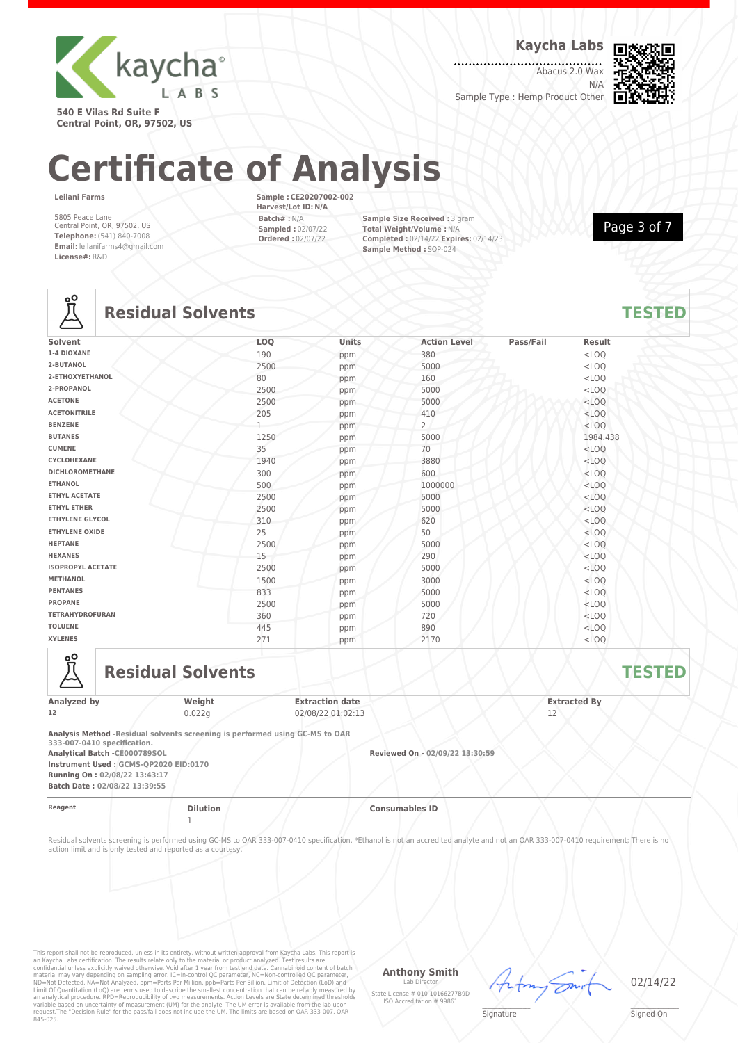

**Kaycha Labs**

Abacus 2.0 Wax N/A Sample Type : Hemp Product Other



**540 E Vilas Rd Suite F Central Point, OR, 97502, US**

# **Certificate of Analysis**

**Leilani Farms**

5805 Peace Lane Central Point, OR, 97502, US **Telephone:** (541) 840-7008 **Email:** leilanifarms4@gmail.com **License#:** R&D

**Sample : CE20207002-002 Harvest/Lot ID: N/A Batch# :** N/A **Sampled :** 02/07/22 **Ordered :** 02/07/22

**Sample Size Received :** 3 gram **Total Weight/Volume :** N/A **Completed :** 02/14/22 **Expires:** 02/14/23 **Sample Method :** SOP-024

Page 3 of 7

## **Lo**

## **Residual Solvents TESTED**

| $\overline{\phantom{0}}$ |      |       |                     |           |          |  |
|--------------------------|------|-------|---------------------|-----------|----------|--|
| Solvent                  | LOQ  | Units | <b>Action Level</b> | Pass/Fail | Result   |  |
| 1-4 DIOXANE              | 190  | ppm   | 380                 |           | $<$ LOQ  |  |
| 2-BUTANOL                | 2500 | ppm   | 5000                |           | $<$ LOQ  |  |
| 2-ETHOXYETHANOL          | 80   | ppm   | 160                 |           | $<$ LOQ  |  |
| 2-PROPANOL               | 2500 | ppm   | 5000                |           | $<$ LOQ  |  |
| <b>ACETONE</b>           | 2500 | ppm   | 5000                |           | $<$ LOQ  |  |
| <b>ACETONITRILE</b>      | 205  | ppm   | 410                 |           | $<$ LOQ  |  |
| <b>BENZENE</b>           |      | ppm   | $\overline{2}$      |           | $<$ LOQ  |  |
| <b>BUTANES</b>           | 1250 | ppm   | 5000                |           | 1984.438 |  |
| <b>CUMENE</b>            | 35   | ppm   | 70                  |           | $<$ LOQ  |  |
| CYCLOHEXANE              | 1940 | ppm   | 3880                |           | $<$ LOO  |  |
| <b>DICHLOROMETHANE</b>   | 300  | ppm   | 600                 |           | $<$ LOQ  |  |
| <b>ETHANOL</b>           | 500  | ppm   | 1000000             |           | $<$ LOQ  |  |
| <b>ETHYL ACETATE</b>     | 2500 | ppm   | 5000                |           | $<$ LOQ  |  |
| <b>ETHYL ETHER</b>       | 2500 | ppm   | 5000                |           | $<$ LOQ  |  |
| <b>ETHYLENE GLYCOL</b>   | 310  | ppm   | 620                 |           | $<$ LOQ  |  |
| <b>ETHYLENE OXIDE</b>    | 25   | ppm   | 50                  |           | $<$ LOQ  |  |
| <b>HEPTANE</b>           | 2500 | ppm   | 5000                |           | $<$ LOQ  |  |
| <b>HEXANES</b>           | 15   | ppm   | 290                 |           | $<$ LOQ  |  |
| <b>ISOPROPYL ACETATE</b> | 2500 | ppm   | 5000                |           | $<$ LOQ  |  |
| <b>METHANOL</b>          | 1500 | ppm   | 3000                |           | $<$ LOQ  |  |
| <b>PENTANES</b>          | 833  | ppm   | 5000                |           | $<$ LOO  |  |
| <b>PROPANE</b>           | 2500 | ppm   | 5000                |           | $<$ LOQ  |  |
| <b>TETRAHYDROFURAN</b>   | 360  | ppm   | 720                 |           | $<$ LOQ  |  |
| <b>TOLUENE</b>           | 445  | ppm   | 890                 |           | $<$ LOQ  |  |
| <b>XYLENES</b>           | 271  | ppm   | 2170                |           | $<$ LOQ  |  |



**Residual Solvents TESTED** 

| Analyzed by | Weight | <b>Extraction date</b> | <b>Extracted By</b> |  |
|-------------|--------|------------------------|---------------------|--|
| 12          | 0.022g | 02/08/22 01:02:13      | <u>. .</u>          |  |
|             |        |                        |                     |  |

**Analysis Method -Residual solvents screening is performed using GC-MS to OAR 333-007-0410 specification.**

**Analytical Batch -CE000789SOL Reviewed On - 02/09/22 13:30:59 Instrument Used : GCMS-QP2020 EID:0170 Running On : 02/08/22 13:43:17**

**Batch Date : 02/08/22 13:39:55**

1

**Reagent Dilution Consumables ID**

Residual solvents screening is performed using GC-MS to OAR 333-007-0410 specification. \*Ethanol is not an accredited analyte and not an OAR 333-007-0410 requirement; There is no action limit and is only tested and reported as a courtesy.

This report shall not be reproduced, unless in its entirety, without written approval from Kaycha Labs. This report is<br>an Kaycha Labs certification. The results relate only to the material or product analyzed. Test result

## **Anthony Smith**

Lab Director State License # 010-10166277B9D ISO Accreditation # 99861

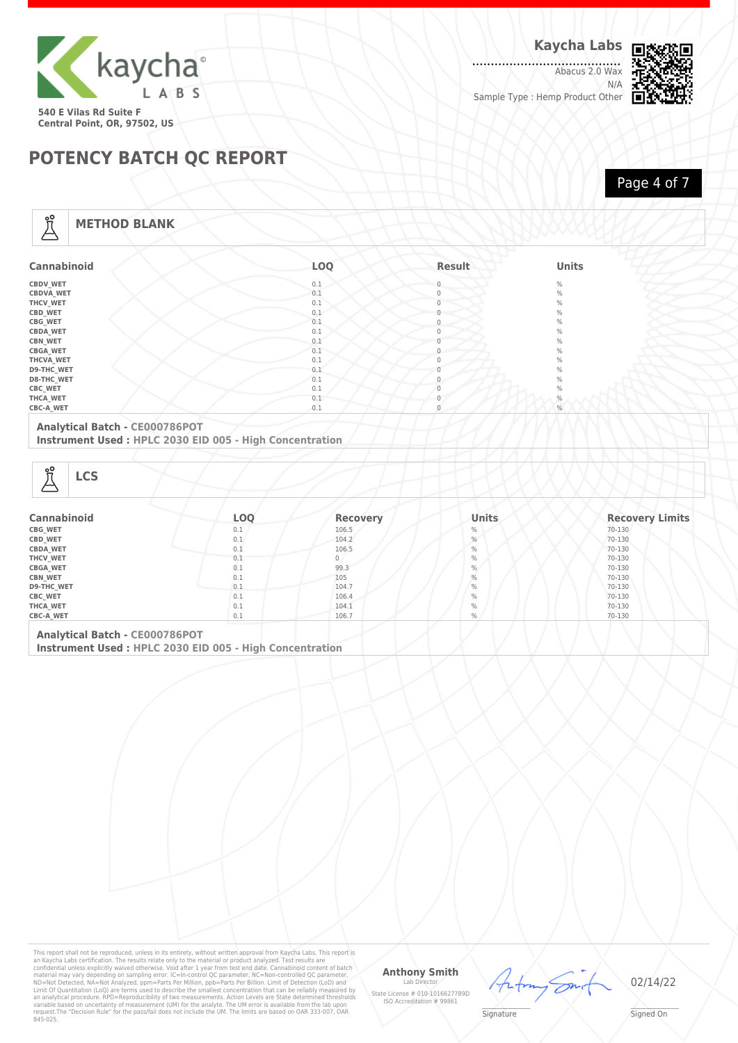

Abacus 2.0 Wax N/A Sample Type : Hemp Product Other

HAAMM



## **POTENCY BATCH QC REPORT**

Page 4 of 7

## **METHOD BLANK**

Å

| <b>Cannabinoid</b> | LOQ | Result       | <b>Units</b> |
|--------------------|-----|--------------|--------------|
| <b>CBDV_WET</b>    | 0.1 | $\Omega$     | $\%$         |
| <b>CBDVA_WET</b>   | 0.1 | 0            | $\%$         |
| THCV_WET           | 0.1 | $\mathbf{0}$ | $\%$         |
| CBD_WET            | 0.1 | $^{(1)}$     | $\%$         |
| CBG_WET            | 0.1 | $\Omega$     | $\%$         |
| <b>CBDA_WET</b>    | 0.1 | $\Omega$     | $\%$         |
| <b>CBN_WET</b>     | 0.1 |              | $\%$         |
| <b>CBGA_WET</b>    | 0.1 | 0            | $\%$         |
| THCVA_WET          | 0.1 | $\Omega$     | $\%$         |
| D9-THC_WET         | 0.1 |              | $\%$         |
| D8-THC_WET         | 0.1 |              | $\%$         |
| <b>CBC_WET</b>     | 0.1 |              | $\%$         |
| THCA_WET           | 0.1 |              | $\%$         |
| <b>CBC-A_WET</b>   | 0.1 | $\mathbf{0}$ | %            |

### **Analytical Batch - CE000786POT**

**Instrument Used : HPLC 2030 EID 005 - High Concentration**

| ၀္ပ္တ<br><b>LCS</b><br>دے |     |                 |               |                        |
|---------------------------|-----|-----------------|---------------|------------------------|
| <b>Cannabinoid</b>        | LOQ | <b>Recovery</b> | <b>Units</b>  | <b>Recovery Limits</b> |
| CBG_WET                   | 0.1 | 106.5           | $\%$          | 70-130                 |
| CBD_WET                   | 0.1 | 104.2           | $\frac{0}{0}$ | 70-130                 |
| <b>CBDA_WET</b>           | 0.1 | 106.5           | $\%$          | 70-130                 |
| <b>THCV WET</b>           | 0.1 | 0               | $\%$          | 70-130                 |

| <b>CBGA WET</b>   | U.I | 99.3  | $\%$ | 70-130 |
|-------------------|-----|-------|------|--------|
| <b>CBN WET</b>    | U.I | 105   |      | 70-130 |
| <b>D9-THC WET</b> | 0.1 | 104.7 | $\%$ | 70-130 |
| CBC_WET           | 0.1 | 106.4 |      | 70-130 |
| THCA WET          | 0.1 | 104.1 |      | 70-130 |
| <b>CBC-A WET</b>  | 0.1 | 106.7 |      | 70-130 |
|                   |     |       |      |        |

**Analytical Batch - CE000786POT Instrument Used : HPLC 2030 EID 005 - High Concentration**

This report shall not be reproduced, unless in its entirety, without written approval from Kaycha Labs. This report is<br>an Kaycha Labs certification. The results relate only to the material or product analyzed. Test result

### **Anthony Smith**

Lab D State License # 010-10166277B9D ISO Accreditation # 99861



02/14/22

 $\mathscr{L}\setminus\mathscr{L}$ **Signature**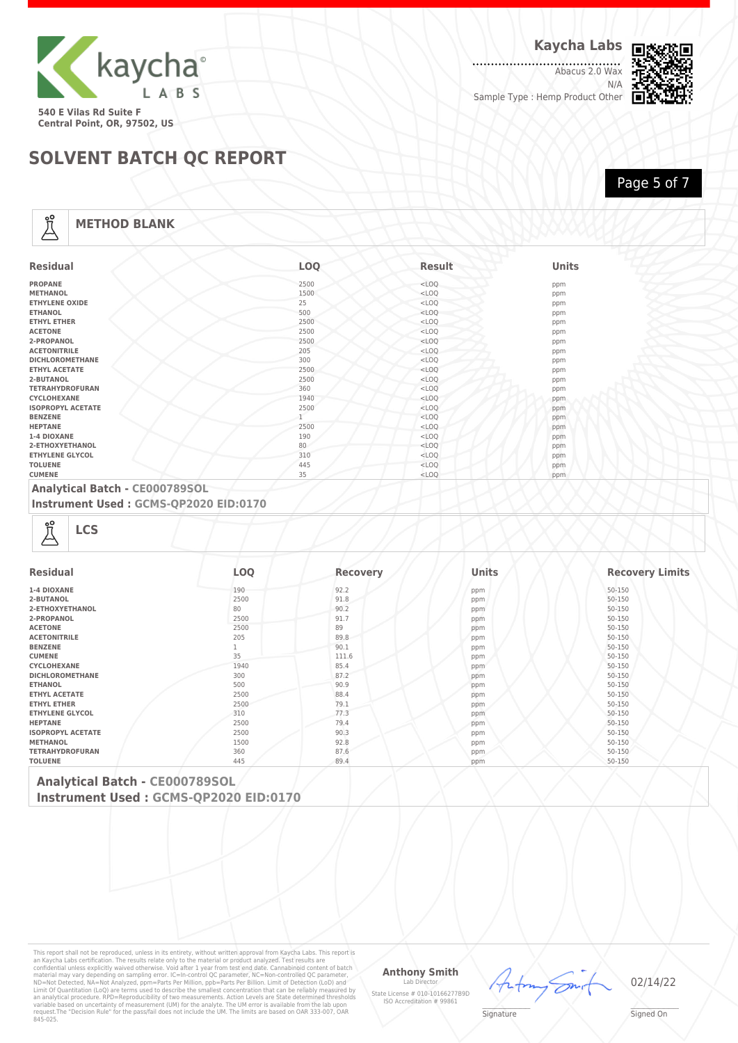

Abacus 2.0 Wax N/A Sample Type : Hemp Product Other



Page 5 of 7

## **SOLVENT BATCH QC REPORT**

## **METHOD BLANK**

Å

| <b>Residual</b>          | <b>LOO</b> | <b>Result</b> | <b>Units</b> |
|--------------------------|------------|---------------|--------------|
| <b>PROPANE</b>           | 2500       | $<$ LOQ       | ppm          |
| <b>METHANOL</b>          | 1500       | $<$ LOQ       | ppm          |
| <b>ETHYLENE OXIDE</b>    | 25         | $<$ LOQ       | ppm          |
| <b>ETHANOL</b>           | 500        | $<$ LOQ       | ppm          |
| <b>ETHYL ETHER</b>       | 2500       | $<$ LOQ       | ppm          |
| <b>ACETONE</b>           | 2500       | $<$ LOQ       | ppm          |
| 2-PROPANOL               | 2500       | $<$ LOQ       | ppm          |
| <b>ACETONITRILE</b>      | 205        | $<$ LOQ       | ppm          |
| <b>DICHLOROMETHANE</b>   | 300        | $<$ LOQ       | ppm          |
| <b>ETHYL ACETATE</b>     | 2500       | $<$ LOQ       | ppm          |
| 2-BUTANOL                | 2500       | $<$ LOQ       | ppm          |
| <b>TETRAHYDROFURAN</b>   | 360        | $<$ LOQ       | ppm          |
| CYCLOHEXANE              | 1940       | $<$ LOQ       | ppm          |
| <b>ISOPROPYL ACETATE</b> | 2500       | $<$ LOQ       | ppm          |
| <b>BENZENE</b>           |            | $<$ LOQ       | ppm          |
| <b>HEPTANE</b>           | 2500       | $<$ LOQ       | ppm          |
| 1-4 DIOXANE              | 190        | $<$ LOQ       | ppm          |
| 2-ETHOXYETHANOL          | 80         | $<$ LOQ       | ppm          |
| <b>ETHYLENE GLYCOL</b>   | 310        | $<$ LOQ       | ppm          |
| <b>TOLUENE</b>           | 445        | $<$ LOQ       | ppm          |
| <b>CUMENE</b>            | 35         | $<$ LOQ       | ppm          |

### **Analytical Batch - CE000789SOL**

**Instrument Used : GCMS-QP2020 EID:0170**

| <b>Residual</b>          | <b>LOO</b> | <b>Recovery</b> | Units | <b>Recovery Limits</b> |
|--------------------------|------------|-----------------|-------|------------------------|
| 1-4 DIOXANE              | 190        | 92.2            | ppm   | 50-150                 |
| 2-BUTANOL                | 2500       | 91.8            | ppm   | 50-150                 |
| 2-ETHOXYETHANOL          | 80         | 90.2            | ppm   | 50-150                 |
| 2-PROPANOL               | 2500       | 91.7            | ppm   | 50-150                 |
| <b>ACETONE</b>           | 2500       | 89              | ppm   | 50-150                 |
| <b>ACETONITRILE</b>      | 205        | 89.8            | ppm   | 50-150                 |
| <b>BENZENE</b>           |            | 90.1            | ppm   | 50-150                 |
| <b>CUMENE</b>            | 35         | 111.6           | ppm   | 50-150                 |
| <b>CYCLOHEXANE</b>       | 1940       | 85.4            | ppm   | 50-150                 |
| <b>DICHLOROMETHANE</b>   | 300        | 87.2            | ppm   | 50-150                 |
| <b>ETHANOL</b>           | 500        | 90.9            | ppm   | 50-150                 |
| <b>ETHYL ACETATE</b>     | 2500       | 88.4            | ppm   | 50-150                 |
| <b>ETHYL ETHER</b>       | 2500       | 79.1            | ppm   | 50-150                 |
| <b>ETHYLENE GLYCOL</b>   | 310        | 77.3            | ppm   | 50-150                 |
| <b>HEPTANE</b>           | 2500       | 79.4            | ppm   | 50-150                 |
| <b>ISOPROPYL ACETATE</b> | 2500       | 90.3            | ppm   | 50-150                 |
| <b>METHANOL</b>          | 1500       | 92.8            | ppm   | 50-150                 |
| <b>TETRAHYDROFURAN</b>   | 360        | 87.6            | ppm   | 50-150                 |
| <b>TOLUENE</b>           | 445        | 89.4            | ppm   | 50-150                 |

**Analytical Batch - CE000789SOL Instrument Used : GCMS-QP2020 EID:0170**

This report shall not be reproduced, unless in its entirety, without written approval from Kaycha Labs. This report is<br>an Kaycha Labs certification. The results relate only to the material or product analyzed. Test result

#### **Anthony Smith**

Lab D State License # 010-10166277B9D ISO Accreditation # 99861



02/14/22

 $\mathscr{L}\setminus\mathscr{L}$ **Signature**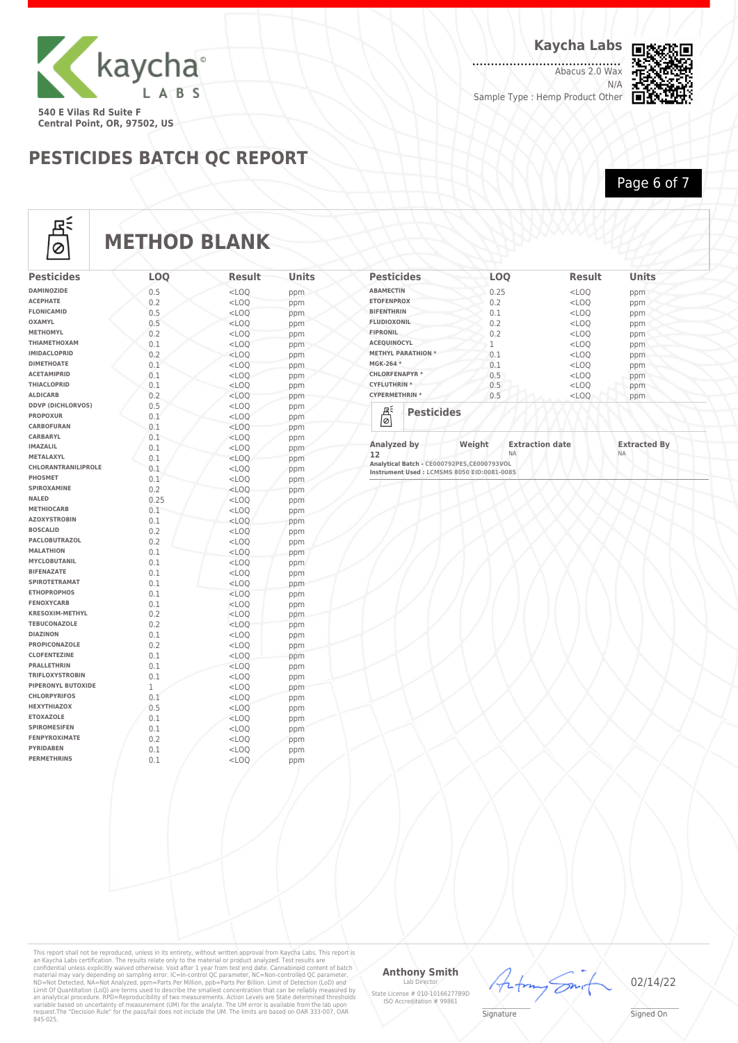

**Kaycha Labs**

.................<br>Abacus 2.0 Wax N/A Sample Type : Hemp Product Other



**PESTICIDES BATCH QC REPORT**

## Page 6 of 7



## **METHOD BLANK**

| <b>Pesticides</b>                      | <b>LOO</b> | <b>Result</b>      | <b>Units</b> |
|----------------------------------------|------------|--------------------|--------------|
| <b>DAMINOZIDE</b>                      | 0.5        | $<$ LOO            | ppm          |
| <b>ACEPHATE</b>                        | 0.2        | $<$ LOO            | ppm          |
| <b>FLONICAMID</b>                      | 0.5        | $<$ LOQ            | ppm          |
| OXAMYL                                 | 0.5        | $<$ LOQ            | ppm          |
| <b>METHOMYL</b>                        | 0.2        | $<$ LOO            | ppm          |
| ΤΗΙΑΜΕΤΗΟΧΑΜ                           | 0.1        | $<$ LOQ            | ppm          |
| <b>IMIDACLOPRID</b>                    | 0.2        | $<$ LOO            | ppm          |
| <b>DIMETHOATE</b>                      | 0.1        | $<$ LOQ            | ppm          |
| <b>ACETAMIPRID</b>                     | 0.1        | $<$ LOQ            | ppm          |
| <b>THIACLOPRID</b>                     | 0.1        | $<$ LOO            | ppm          |
| <b>ALDICARB</b>                        | 0.2        | $<$ LOQ            | ppm          |
| <b>DDVP (DICHLORVOS)</b>               | 0.5        | $<$ LOQ            | ppm          |
| <b>PROPOXUR</b>                        | 0.1        | $<$ LOQ            | ppm          |
| <b>CARBOFURAN</b>                      | 0.1        | $<$ LOO            | ppm          |
| <b>CARBARYL</b>                        | 0.1        | $<$ LOQ            | ppm          |
| <b>IMAZALIL</b>                        | 0.1        | $<$ LOQ            | ppm          |
| <b>METALAXYL</b>                       | 0.1        | $<$ LOO            | ppm          |
| CHLORANTRANILIPROLE                    | 0.1        | $<$ LOQ            | ppm          |
| PHOSMET                                | 0.1        | $<$ LOQ            | ppm          |
| SPIROXAMINE                            | 0.2        | $<$ LOO            | ppm          |
| <b>NALED</b>                           | 0.25       | $<$ LOQ            | ppm          |
| <b>METHIOCARB</b>                      | 0.1        | $<$ LOQ            | ppm          |
| <b>AZOXYSTROBIN</b><br><b>BOSCALID</b> | 0.1        | $<$ LOO            | ppm          |
| <b>PACLOBUTRAZOL</b>                   | 0.2        | $<$ LOQ            | ppm          |
| <b>MALATHION</b>                       | 0.2        | $<$ LOO            | ppm          |
| <b>MYCLOBUTANIL</b>                    | 0.1        | $<$ LOO            | ppm          |
| <b>BIFENAZATE</b>                      | 0.1<br>0.1 | $<$ LOO            | ppm          |
| <b>SPIROTETRAMAT</b>                   | 0.1        | $<$ LOQ<br>$<$ LOO | ppm          |
| <b>ETHOPROPHOS</b>                     | 0.1        | $<$ LOO            | ppm          |
| <b>FENOXYCARB</b>                      | 0.1        | $<$ LOQ            | ppm          |
| <b>KRESOXIM-METHYL</b>                 | 0.2        | $<$ LOO            | ppm          |
| <b>TEBUCONAZOLE</b>                    | 0.2        | $<$ LOO            | ppm<br>ppm   |
| <b>DIAZINON</b>                        | 0.1        | $<$ LOQ            | ppm          |
| <b>PROPICONAZOLE</b>                   | 0.2        | $<$ LOO            | ppm          |
| <b>CLOFENTEZINE</b>                    | 0.1        | $<$ LOO            | ppm          |
| <b>PRALLETHRIN</b>                     | 0.1        | $<$ LOO            | ppm          |
| <b>TRIFLOXYSTROBIN</b>                 | 0.1        | $<$ LOQ            | ppm          |
| PIPERONYL BUTOXIDE                     | 1          | $<$ LOO            | ppm          |
| <b>CHLORPYRIFOS</b>                    | 0.1        | $<$ LOO            | ppm          |
| <b>HEXYTHIAZOX</b>                     | 0.5        | $<$ LOO            | ppm          |
| <b>ETOXAZOLE</b>                       | 0.1        | $<$ LOQ            | ppm          |
| <b>SPIROMESIFEN</b>                    | 0.1        | $<$ LOQ            | ppm          |
| <b>FENPYROXIMATE</b>                   | 0.2        | $<$ LOO            | ppm          |
| <b>PYRIDABEN</b>                       | 0.1        | $<$ LOO            | ppm          |
| <b>PERMETHRINS</b>                     | 0.1        | $<$ LOQ            | ppm          |
|                                        |            |                    |              |

| <b>Pesticides</b>           | <b>LOO</b> | <b>Result</b> | <b>Units</b> |  |
|-----------------------------|------------|---------------|--------------|--|
| <b>ABAMECTIN</b>            | 0.25       | $<$ LOQ       | ppm          |  |
| <b>ETOFENPROX</b>           | 0.2        | $<$ LOQ       | ppm          |  |
| <b>BIFENTHRIN</b>           | 0.1        | $<$ LOQ       | ppm          |  |
| <b>FLUDIOXONIL</b>          | 0.2        | $<$ LOQ       | ppm          |  |
| <b>FIPRONIL</b>             | 0.2        | $<$ LOQ       | ppm          |  |
| <b>ACEQUINOCYL</b>          | 1          | $<$ LOQ       | ppm          |  |
| <b>METHYL PARATHION *</b>   | 0.1        | $<$ LOQ       | ppm          |  |
| MGK-264 *                   | 0.1        | $<$ LOQ       | ppm          |  |
| <b>CHLORFENAPYR*</b>        | 0.5        | $<$ LOQ       | ppm          |  |
| <b>CYFLUTHRIN*</b>          | 0.5        | $<$ LOQ       | ppm          |  |
| <b>CYPERMETHRIN *</b>       | 0.5        | $<$ LOO       | ppm          |  |
| 죠<br><b>Pesticides</b><br>Ø |            |               |              |  |

| Analyzed by                                 | Weight | <b>Extraction date</b> | <b>Extracted By</b> |
|---------------------------------------------|--------|------------------------|---------------------|
|                                             |        |                        |                     |
| 12                                          |        | NΑ                     | <b>NA</b>           |
| Analytical Batch - CE000792PES, CE000793VOL |        |                        |                     |
| Instrument Used : LCMSMS 8050 EID:0081-0085 |        |                        |                     |

This report shall not be reproduced, unless in its entirety, without written approval from Kaycha Labs. This report is<br>an Kaycha Labs certification. The results relate only to the material or product analyzed. Test result

#### **Anthony Smith** Lab D

State License # 010-10166277B9D ISO Accreditation # 99861



**Signature** 

02/14/22